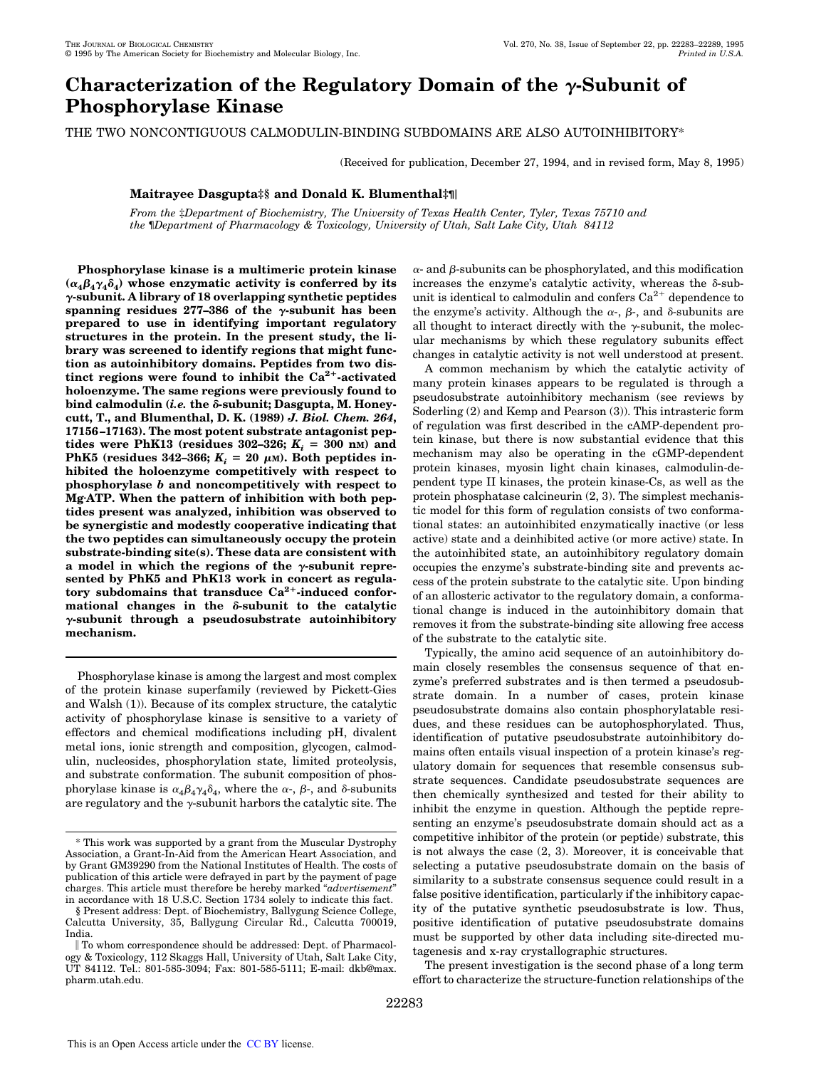# **Characterization of the Regulatory Domain of the γ-Subunit of Phosphorylase Kinase**

THE TWO NONCONTIGUOUS CALMODULIN-BINDING SUBDOMAINS ARE ALSO AUTOINHIBITORY\*

(Received for publication, December 27, 1994, and in revised form, May 8, 1995)

# **Maitrayee Dasgupta‡§ and Donald K. Blumenthal‡¶**i

*From the* ‡*Department of Biochemistry, The University of Texas Health Center, Tyler, Texas 75710 and the* ¶*Department of Pharmacology & Toxicology, University of Utah, Salt Lake City, Utah 84112*

**Phosphorylase kinase is a multimeric protein kinase**  $(\alpha_4\beta_4\gamma_4\delta_4)$  whose enzymatic activity is conferred by its <sup>g</sup>**-subunit. A library of 18 overlapping synthetic peptides** spanning residues 277-386 of the  $\gamma$ -subunit has been **prepared to use in identifying important regulatory structures in the protein. In the present study, the library was screened to identify regions that might function as autoinhibitory domains. Peptides from two distinct regions were found to inhibit the Ca2**<sup>1</sup> **-activated holoenzyme. The same regions were previously found to bind calmodulin (***i.e.* **the** <sup>d</sup>**-subunit; Dasgupta, M. Honeycutt, T., and Blumenthal, D. K. (1989)** *J. Biol. Chem. 264***, 17156–17163). The most potent substrate antagonist peptides were PhK13** (residues 302-326;  $K_i = 300$  nm) and **PhK5** (residues 342-366;  $K_i = 20 \mu M$ ). Both peptides in**hibited the holoenzyme competitively with respect to phosphorylase** *b* **and noncompetitively with respect to Mg**z**ATP. When the pattern of inhibition with both peptides present was analyzed, inhibition was observed to be synergistic and modestly cooperative indicating that the two peptides can simultaneously occupy the protein substrate-binding site(s). These data are consistent with** a model in which the regions of the  $\gamma$ -subunit repre**sented by PhK5 and PhK13 work in concert as regulatory subdomains that transduce Ca2**<sup>1</sup> **-induced confor**mational changes in the  $\delta$ -subunit to the catalytic <sup>g</sup>**-subunit through a pseudosubstrate autoinhibitory mechanism.**

Phosphorylase kinase is among the largest and most complex of the protein kinase superfamily (reviewed by Pickett-Gies and Walsh (1)). Because of its complex structure, the catalytic activity of phosphorylase kinase is sensitive to a variety of effectors and chemical modifications including pH, divalent metal ions, ionic strength and composition, glycogen, calmodulin, nucleosides, phosphorylation state, limited proteolysis, and substrate conformation. The subunit composition of phosphorylase kinase is  $\alpha_4\beta_4\gamma_4\delta_4$ , where the  $\alpha$ -,  $\beta$ -, and  $\delta$ -subunits are regulatory and the  $\gamma$ -subunit harbors the catalytic site. The

 $\alpha$ - and  $\beta$ -subunits can be phosphorylated, and this modification increases the enzyme's catalytic activity, whereas the  $\delta$ -subunit is identical to calmodulin and confers  $Ca^{2+}$  dependence to the enzyme's activity. Although the  $\alpha$ -,  $\beta$ -, and  $\delta$ -subunits are all thought to interact directly with the  $\gamma$ -subunit, the molecular mechanisms by which these regulatory subunits effect changes in catalytic activity is not well understood at present.

A common mechanism by which the catalytic activity of many protein kinases appears to be regulated is through a pseudosubstrate autoinhibitory mechanism (see reviews by Soderling (2) and Kemp and Pearson (3)). This intrasteric form of regulation was first described in the cAMP-dependent protein kinase, but there is now substantial evidence that this mechanism may also be operating in the cGMP-dependent protein kinases, myosin light chain kinases, calmodulin-dependent type II kinases, the protein kinase-Cs, as well as the protein phosphatase calcineurin (2, 3). The simplest mechanistic model for this form of regulation consists of two conformational states: an autoinhibited enzymatically inactive (or less active) state and a deinhibited active (or more active) state. In the autoinhibited state, an autoinhibitory regulatory domain occupies the enzyme's substrate-binding site and prevents access of the protein substrate to the catalytic site. Upon binding of an allosteric activator to the regulatory domain, a conformational change is induced in the autoinhibitory domain that removes it from the substrate-binding site allowing free access of the substrate to the catalytic site.

Typically, the amino acid sequence of an autoinhibitory domain closely resembles the consensus sequence of that enzyme's preferred substrates and is then termed a pseudosubstrate domain. In a number of cases, protein kinase pseudosubstrate domains also contain phosphorylatable residues, and these residues can be autophosphorylated. Thus, identification of putative pseudosubstrate autoinhibitory domains often entails visual inspection of a protein kinase's regulatory domain for sequences that resemble consensus substrate sequences. Candidate pseudosubstrate sequences are then chemically synthesized and tested for their ability to inhibit the enzyme in question. Although the peptide representing an enzyme's pseudosubstrate domain should act as a competitive inhibitor of the protein (or peptide) substrate, this is not always the case (2, 3). Moreover, it is conceivable that selecting a putative pseudosubstrate domain on the basis of similarity to a substrate consensus sequence could result in a false positive identification, particularly if the inhibitory capacity of the putative synthetic pseudosubstrate is low. Thus, positive identification of putative pseudosubstrate domains must be supported by other data including site-directed mutagenesis and x-ray crystallographic structures.

The present investigation is the second phase of a long term effort to characterize the structure-function relationships of the

<sup>\*</sup> This work was supported by a grant from the Muscular Dystrophy Association, a Grant-In-Aid from the American Heart Association, and by Grant GM39290 from the National Institutes of Health. The costs of publication of this article were defrayed in part by the payment of page charges. This article must therefore be hereby marked "*advertisement*" in accordance with 18 U.S.C. Section 1734 solely to indicate this fact.

<sup>§</sup> Present address: Dept. of Biochemistry, Ballygung Science College, Calcutta University, 35, Ballygung Circular Rd., Calcutta 700019, India.

i To whom correspondence should be addressed: Dept. of Pharmacology & Toxicology, 112 Skaggs Hall, University of Utah, Salt Lake City, UT 84112. Tel.: 801-585-3094; Fax: 801-585-5111; E-mail: dkb@max. pharm.utah.edu.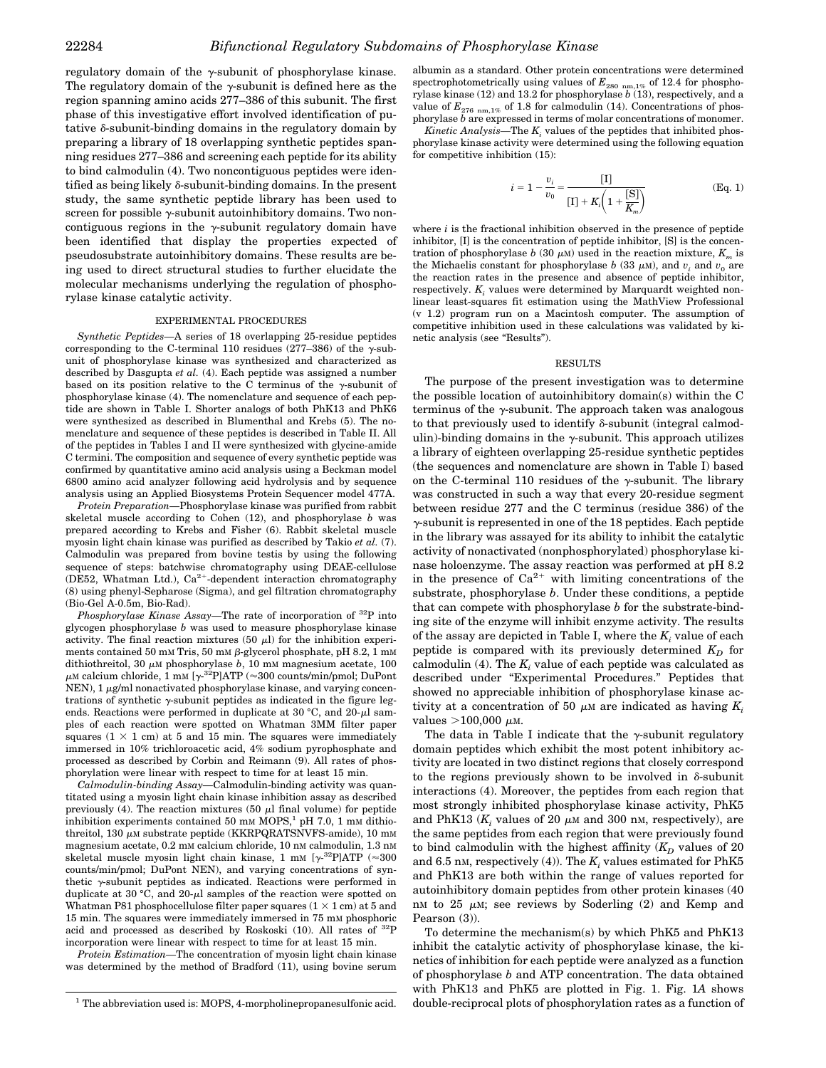regulatory domain of the  $\gamma$ -subunit of phosphorylase kinase. The regulatory domain of the  $\gamma$ -subunit is defined here as the region spanning amino acids 277–386 of this subunit. The first phase of this investigative effort involved identification of putative  $\delta$ -subunit-binding domains in the regulatory domain by preparing a library of 18 overlapping synthetic peptides spanning residues 277–386 and screening each peptide for its ability to bind calmodulin (4). Two noncontiguous peptides were identified as being likely  $\delta$ -subunit-binding domains. In the present study, the same synthetic peptide library has been used to screen for possible  $\gamma$ -subunit autoinhibitory domains. Two noncontiguous regions in the  $\gamma$ -subunit regulatory domain have been identified that display the properties expected of pseudosubstrate autoinhibitory domains. These results are being used to direct structural studies to further elucidate the molecular mechanisms underlying the regulation of phosphorylase kinase catalytic activity.

## EXPERIMENTAL PROCEDURES

*Synthetic Peptides—*A series of 18 overlapping 25-residue peptides corresponding to the C-terminal 110 residues (277–386) of the  $\gamma$ -subunit of phosphorylase kinase was synthesized and characterized as described by Dasgupta *et al.* (4). Each peptide was assigned a number based on its position relative to the C terminus of the  $\gamma$ -subunit of phosphorylase kinase (4). The nomenclature and sequence of each peptide are shown in Table I. Shorter analogs of both PhK13 and PhK6 were synthesized as described in Blumenthal and Krebs (5). The nomenclature and sequence of these peptides is described in Table II. All of the peptides in Tables I and II were synthesized with glycine-amide C termini. The composition and sequence of every synthetic peptide was confirmed by quantitative amino acid analysis using a Beckman model 6800 amino acid analyzer following acid hydrolysis and by sequence analysis using an Applied Biosystems Protein Sequencer model 477A.

*Protein Preparation—*Phosphorylase kinase was purified from rabbit skeletal muscle according to Cohen (12), and phosphorylase *b* was prepared according to Krebs and Fisher (6). Rabbit skeletal muscle myosin light chain kinase was purified as described by Takio *et al.* (7). Calmodulin was prepared from bovine testis by using the following sequence of steps: batchwise chromatography using DEAE-cellulose (DE52, Whatman Ltd.), Ca<sup>2+</sup>-dependent interaction chromatography (8) using phenyl-Sepharose (Sigma), and gel filtration chromatography (Bio-Gel A-0.5m, Bio-Rad).

*Phosphorylase Kinase Assay—*The rate of incorporation of <sup>32</sup>P into glycogen phosphorylase *b* was used to measure phosphorylase kinase activity. The final reaction mixtures  $(50 \mu l)$  for the inhibition experiments contained 50 mM Tris, 50 mM  $\beta$ -glycerol phosphate, pH 8.2, 1 mM dithiothreitol, 30  $\mu$ M phosphorylase  $b$ , 10 mM magnesium acetate, 100  $\mu$ M calcium chloride, 1 mM [ $\gamma$ -<sup>32</sup>P]ATP (~300 counts/min/pmol; DuPont NEN),  $1 \mu$ g/ml nonactivated phosphorylase kinase, and varying concentrations of synthetic  $\gamma$ -subunit peptides as indicated in the figure legends. Reactions were performed in duplicate at 30 °C, and 20- $\mu$ l samples of each reaction were spotted on Whatman 3MM filter paper squares  $(1 \times 1$  cm) at 5 and 15 min. The squares were immediately immersed in 10% trichloroacetic acid, 4% sodium pyrophosphate and processed as described by Corbin and Reimann (9). All rates of phosphorylation were linear with respect to time for at least 15 min.

*Calmodulin-binding Assay—*Calmodulin-binding activity was quantitated using a myosin light chain kinase inhibition assay as described previously (4). The reaction mixtures (50  $\mu$ l final volume) for peptide inhibition experiments contained 50 mm  $MOPS$ ,<sup>1</sup> pH 7.0, 1 mm dithiothreitol,  $130 \mu M$  substrate peptide (KKRPQRATSNVFS-amide),  $10 \text{ mM}$ magnesium acetate, 0.2 mM calcium chloride, 10 nM calmodulin, 1.3 nM skeletal muscle myosin light chain kinase, 1 mm  $[\gamma^{32}P]ATP$  ( $\approx 300$ counts/min/pmol; DuPont NEN), and varying concentrations of synthetic  $\gamma$ -subunit peptides as indicated. Reactions were performed in duplicate at 30 °C, and 20- $\mu$ l samples of the reaction were spotted on Whatman P81 phosphocellulose filter paper squares  $(1 \times 1$  cm) at 5 and 15 min. The squares were immediately immersed in 75 mM phosphoric acid and processed as described by Roskoski  $(10)$ . All rates of <sup>32</sup>P incorporation were linear with respect to time for at least 15 min.

*Protein Estimation—*The concentration of myosin light chain kinase was determined by the method of Bradford (11), using bovine serum albumin as a standard. Other protein concentrations were determined spectrophotometrically using values of  $E_{280 \text{ nm},1\%}$  of 12.4 for phosphorylase kinase (12) and 13.2 for phosphorylase *b* (13), respectively, and a value of  $E_{276 \text{ nm},1\%}$  of 1.8 for calmodulin (14). Concentrations of phosphorylase *b* are expressed in terms of molar concentrations of monomer.

*Kinetic Analysis—*The *K<sup>i</sup>* values of the peptides that inhibited phosphorylase kinase activity were determined using the following equation for competitive inhibition (15):

$$
i = 1 - \frac{v_i}{v_0} = \frac{\text{[I]}}{\text{[I]} + K_i \left(1 + \frac{\text{[S]}}{K_m}\right)} \tag{Eq. 1}
$$

where *i* is the fractional inhibition observed in the presence of peptide inhibitor, [I] is the concentration of peptide inhibitor, [S] is the concentration of phosphorylase *b* (30  $\mu$ M) used in the reaction mixture,  $K_m$  is the Michaelis constant for phosphorylase  $b$  (33  $\mu$ M), and  $v_i$  and  $v_0$  are the reaction rates in the presence and absence of peptide inhibitor, respectively. *K<sup>i</sup>* values were determined by Marquardt weighted nonlinear least-squares fit estimation using the MathView Professional (v 1.2) program run on a Macintosh computer. The assumption of competitive inhibition used in these calculations was validated by kinetic analysis (see "Results").

#### RESULTS

The purpose of the present investigation was to determine the possible location of autoinhibitory domain(s) within the C terminus of the  $\gamma$ -subunit. The approach taken was analogous to that previously used to identify  $\delta$ -subunit (integral calmodulin)-binding domains in the  $\gamma$ -subunit. This approach utilizes a library of eighteen overlapping 25-residue synthetic peptides (the sequences and nomenclature are shown in Table I) based on the C-terminal 110 residues of the  $\gamma$ -subunit. The library was constructed in such a way that every 20-residue segment between residue 277 and the C terminus (residue 386) of the  $\gamma$ -subunit is represented in one of the 18 peptides. Each peptide in the library was assayed for its ability to inhibit the catalytic activity of nonactivated (nonphosphorylated) phosphorylase kinase holoenzyme. The assay reaction was performed at pH 8.2 in the presence of  $Ca^{2+}$  with limiting concentrations of the substrate, phosphorylase *b*. Under these conditions, a peptide that can compete with phosphorylase *b* for the substrate-binding site of the enzyme will inhibit enzyme activity. The results of the assay are depicted in Table I, where the *K<sup>i</sup>* value of each peptide is compared with its previously determined  $K_D$  for calmodulin (4). The  $K_i$  value of each peptide was calculated as described under "Experimental Procedures." Peptides that showed no appreciable inhibition of phosphorylase kinase activity at a concentration of 50  $\mu$ M are indicated as having  $K_i$ values  $>100,000 \mu M$ .

The data in Table I indicate that the  $\gamma$ -subunit regulatory domain peptides which exhibit the most potent inhibitory activity are located in two distinct regions that closely correspond to the regions previously shown to be involved in  $\delta$ -subunit interactions (4). Moreover, the peptides from each region that most strongly inhibited phosphorylase kinase activity, PhK5 and PhK13  $(K<sub>i</sub>$  values of 20  $\mu$ M and 300 nM, respectively), are the same peptides from each region that were previously found to bind calmodulin with the highest affinity  $(K_D)$  values of 20 and 6.5 nM, respectively (4)). The  $K_i$  values estimated for PhK5 and PhK13 are both within the range of values reported for autoinhibitory domain peptides from other protein kinases (40 nM to 25  $\mu$ M; see reviews by Soderling (2) and Kemp and Pearson (3)).

To determine the mechanism(s) by which PhK5 and PhK13 inhibit the catalytic activity of phosphorylase kinase, the kinetics of inhibition for each peptide were analyzed as a function of phosphorylase *b* and ATP concentration. The data obtained with PhK13 and PhK5 are plotted in Fig. 1. Fig. 1*A* shows <sup>1</sup> The abbreviation used is: MOPS, 4-morpholinepropanesulfonic acid. double-reciprocal plots of phosphorylation rates as a function of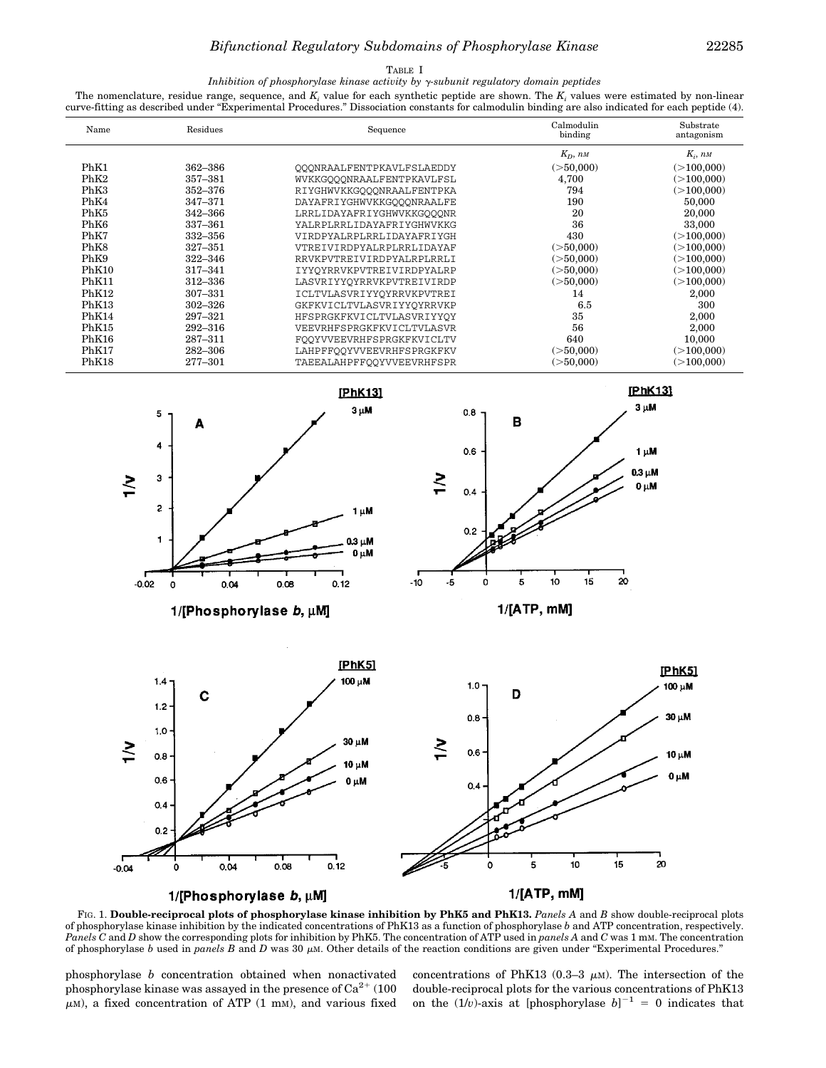# *Bifunctional Regulatory Subdomains of Phosphorylase Kinase* 22285

## TABLE I

#### *Inhibition of phosphorylase kinase activity by*  $\gamma$ *-subunit regulatory domain peptides*

The nomenclature, residue range, sequence, and *K<sup>i</sup>* value for each synthetic peptide are shown. The *K<sup>i</sup>* values were estimated by non-linear curve-fitting as described under "Experimental Procedures." Dissociation constants for calmodulin binding are also indicated for each peptide (4).

| Name             | Residues    | Sequence                  | Calmodulin<br>binding  | Substrate<br>antagonism |  |  |  |
|------------------|-------------|---------------------------|------------------------|-------------------------|--|--|--|
|                  |             |                           | $K_D$ , n <sub>M</sub> | $K_i$ , $n_M$           |  |  |  |
| PhK1             | 362-386     | QQQNRAALFENTPKAVLFSLAEDDY | ( >50,000)             | (>100,000)              |  |  |  |
| PhK2             | 357-381     | WVKKGOOONRAALFENTPKAVLFSL | 4,700                  | (>100,000)              |  |  |  |
| PhK3             | 352-376     | RIYGHWVKKGOOONRAALFENTPKA | 794                    | (>100,000)              |  |  |  |
| PhK4             | 347-371     | DAYAFRIYGHWVKKGOOONRAALFE | 190                    | 50,000                  |  |  |  |
| PhK <sub>5</sub> | 342-366     | LRRLIDAYAFRIYGHWVKKGOOONR | 20                     | 20,000                  |  |  |  |
| PhK6             | 337-361     | YALRPLRRLIDAYAFRIYGHWVKKG | 36                     | 33,000                  |  |  |  |
| PhK7             | 332–356     | VIRDPYALRPLRRLIDAYAFRIYGH | 430                    | (>100,000)              |  |  |  |
| PhK8             | 327–351     | VTREIVIRDPYALRPLRRLIDAYAF | ( >50,000)             | (>100,000)              |  |  |  |
| PhK9             | $322 - 346$ | RRVKPVTREIVIRDPYALRPLRRLI | ( >50,000)             | (>100,000)              |  |  |  |
| PhK10            | 317-341     | IYYOYRRVKPVTREIVIRDPYALRP | ( >50,000)             | (>100,000)              |  |  |  |
| PhK11            | 312-336     | LASVRIYYOYRRVKPVTREIVIRDP | ( >50,000)             | (>100,000)              |  |  |  |
| PhK12            | 307-331     | ICLTVLASVRIYYOYRRVKPVTREI | 14                     | 2,000                   |  |  |  |
| PhK13            | $302 - 326$ | GKFKVICLTVLASVRIYYOYRRVKP | 6.5                    | 300                     |  |  |  |
| PhK14            | 297–321     | HFSPRGKFKVICLTVLASVRIYYOY | 35                     | 2,000                   |  |  |  |
| PhK15            | $292 - 316$ | VEEVRHFSPRGKFKVICLTVLASVR | 56                     | 2,000                   |  |  |  |
| PhK16            | 287-311     | FOOYVVEEVRHFSPRGKFKVICLTV | 640                    | 10,000                  |  |  |  |
| PhK17            | 282–306     | LAHPFFOOYVVEEVRHFSPRGKFKV | ( >50,000)             | (>100,000)              |  |  |  |
| PhK18            | 277–301     | TAEEALAHPFFOOYVVEEVRHFSPR | ( >50,000)             | (>100,000)              |  |  |  |



1/[Phosphorylase  $b$ ,  $\mu$ M]



 $1/[ATP, mM]$ 



1/[Phosphorylase  $b$ ,  $\mu$ M]

1/[ATP, mM]

FIG. 1. **Double-reciprocal plots of phosphorylase kinase inhibition by PhK5 and PhK13.** *Panels A* and *B* show double-reciprocal plots of phosphorylase kinase inhibition by the indicated concentrations of PhK13 as a function of phosphorylase *b* and ATP concentration, respectively. *Panels C* and *D* show the corresponding plots for inhibition by PhK5. The concentration of ATP used in *panels A* and *C* was 1 mM. The concentration of phosphorylase  $b$  used in *panels*  $B$  and  $D$  was 30  $\mu$ M. Other details of the reaction conditions are given under "Experimental Procedures."

phosphorylase *b* concentration obtained when nonactivated phosphorylase kinase was assayed in the presence of  $\rm Ca^{2+}$  (100  $\mu$ M), a fixed concentration of ATP (1 mM), and various fixed concentrations of PhK13 (0.3–3  $\mu$ M). The intersection of the double-reciprocal plots for the various concentrations of PhK13 on the  $(1/v)$ -axis at [phosphorylase  $b$ ]<sup>-1</sup> = 0 indicates that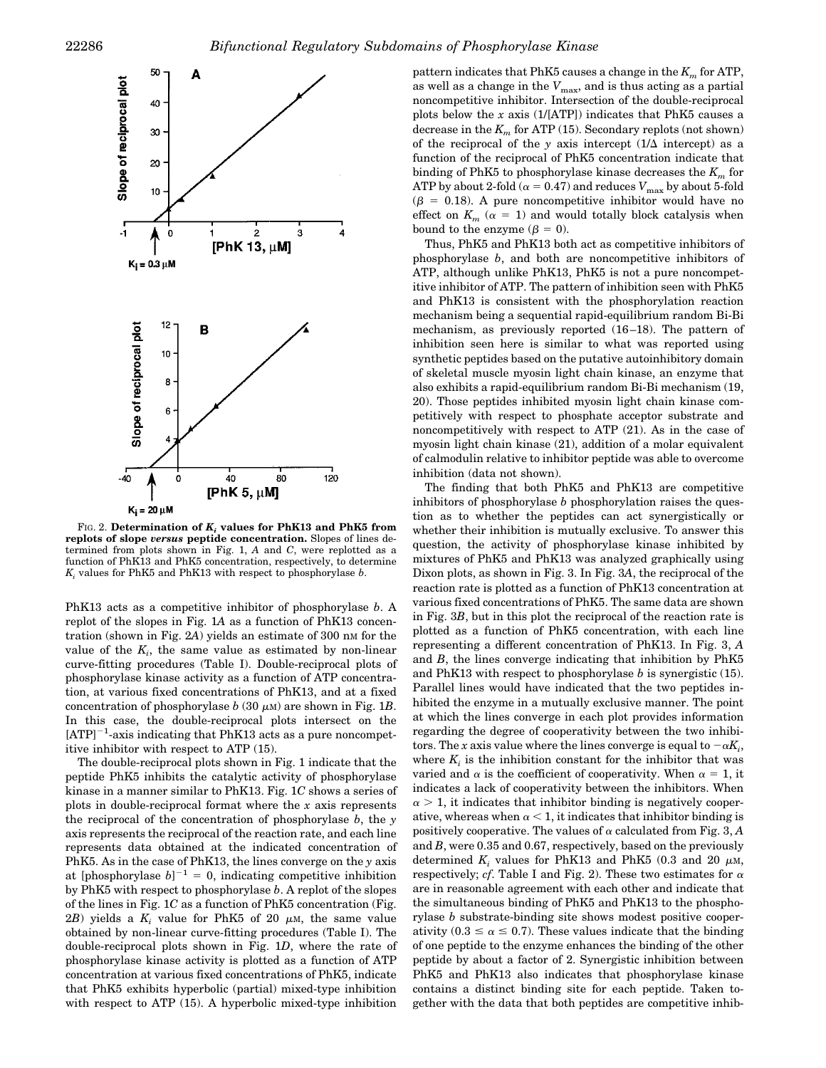

FIG. 2. **Determination of** *K<sup>i</sup>* **values for PhK13 and PhK5 from replots of slope** *versus* **peptide concentration.** Slopes of lines determined from plots shown in Fig. 1, *A* and *C*, were replotted as a function of PhK13 and PhK5 concentration, respectively, to determine *K<sup>i</sup>* values for PhK5 and PhK13 with respect to phosphorylase *b*.

PhK13 acts as a competitive inhibitor of phosphorylase *b*. A replot of the slopes in Fig. 1*A* as a function of PhK13 concentration (shown in Fig. 2*A*) yields an estimate of 300 nM for the value of the  $K_i$ , the same value as estimated by non-linear curve-fitting procedures (Table I). Double-reciprocal plots of phosphorylase kinase activity as a function of ATP concentration, at various fixed concentrations of PhK13, and at a fixed concentration of phosphorylase  $b(30 \mu M)$  are shown in Fig. 1*B*. In this case, the double-reciprocal plots intersect on the  $[ATP]^{-1}$ -axis indicating that PhK13 acts as a pure noncompetitive inhibitor with respect to ATP (15).

The double-reciprocal plots shown in Fig. 1 indicate that the peptide PhK5 inhibits the catalytic activity of phosphorylase kinase in a manner similar to PhK13. Fig. 1*C* shows a series of plots in double-reciprocal format where the *x* axis represents the reciprocal of the concentration of phosphorylase *b*, the *y* axis represents the reciprocal of the reaction rate, and each line represents data obtained at the indicated concentration of PhK5. As in the case of PhK13, the lines converge on the *y* axis at [phosphorylase  $b$ ]<sup>-1</sup> = 0, indicating competitive inhibition by PhK5 with respect to phosphorylase *b*. A replot of the slopes of the lines in Fig. 1*C* as a function of PhK5 concentration (Fig. 2*B*) yields a  $K_i$  value for PhK5 of 20  $\mu$ M, the same value obtained by non-linear curve-fitting procedures (Table I). The double-reciprocal plots shown in Fig. 1*D*, where the rate of phosphorylase kinase activity is plotted as a function of ATP concentration at various fixed concentrations of PhK5, indicate that PhK5 exhibits hyperbolic (partial) mixed-type inhibition with respect to ATP (15). A hyperbolic mixed-type inhibition pattern indicates that PhK5 causes a change in the *K<sup>m</sup>* for ATP, as well as a change in the  $V_{\text{max}}$ , and is thus acting as a partial noncompetitive inhibitor. Intersection of the double-reciprocal plots below the *x* axis (1/[ATP]) indicates that PhK5 causes a decrease in the  $K_m$  for ATP (15). Secondary replots (not shown) of the reciprocal of the  $y$  axis intercept  $(1/\Delta$  intercept) as a function of the reciprocal of PhK5 concentration indicate that binding of PhK5 to phosphorylase kinase decreases the *K<sup>m</sup>* for ATP by about 2-fold ( $\alpha = 0.47$ ) and reduces  $V_{\text{max}}$  by about 5-fold  $(\beta = 0.18)$ . A pure noncompetitive inhibitor would have no effect on  $K_m$  ( $\alpha = 1$ ) and would totally block catalysis when bound to the enzyme ( $\beta = 0$ ).

Thus, PhK5 and PhK13 both act as competitive inhibitors of phosphorylase *b*, and both are noncompetitive inhibitors of ATP, although unlike PhK13, PhK5 is not a pure noncompetitive inhibitor of ATP. The pattern of inhibition seen with PhK5 and PhK13 is consistent with the phosphorylation reaction mechanism being a sequential rapid-equilibrium random Bi-Bi mechanism, as previously reported (16–18). The pattern of inhibition seen here is similar to what was reported using synthetic peptides based on the putative autoinhibitory domain of skeletal muscle myosin light chain kinase, an enzyme that also exhibits a rapid-equilibrium random Bi-Bi mechanism (19, 20). Those peptides inhibited myosin light chain kinase competitively with respect to phosphate acceptor substrate and noncompetitively with respect to ATP (21). As in the case of myosin light chain kinase (21), addition of a molar equivalent of calmodulin relative to inhibitor peptide was able to overcome inhibition (data not shown).

The finding that both PhK5 and PhK13 are competitive inhibitors of phosphorylase *b* phosphorylation raises the question as to whether the peptides can act synergistically or whether their inhibition is mutually exclusive. To answer this question, the activity of phosphorylase kinase inhibited by mixtures of PhK5 and PhK13 was analyzed graphically using Dixon plots, as shown in Fig. 3. In Fig. 3*A*, the reciprocal of the reaction rate is plotted as a function of PhK13 concentration at various fixed concentrations of PhK5. The same data are shown in Fig. 3*B*, but in this plot the reciprocal of the reaction rate is plotted as a function of PhK5 concentration, with each line representing a different concentration of PhK13. In Fig. 3, *A* and *B*, the lines converge indicating that inhibition by PhK5 and PhK13 with respect to phosphorylase *b* is synergistic (15). Parallel lines would have indicated that the two peptides inhibited the enzyme in a mutually exclusive manner. The point at which the lines converge in each plot provides information regarding the degree of cooperativity between the two inhibitors. The *x* axis value where the lines converge is equal to  $-\alpha K_i$ , where  $K_i$  is the inhibition constant for the inhibitor that was varied and  $\alpha$  is the coefficient of cooperativity. When  $\alpha = 1$ , it indicates a lack of cooperativity between the inhibitors. When  $\alpha > 1$ , it indicates that inhibitor binding is negatively cooperative, whereas when  $\alpha < 1$ , it indicates that inhibitor binding is positively cooperative. The values of  $\alpha$  calculated from Fig. 3,  $A$ and *B*, were 0.35 and 0.67, respectively, based on the previously determined  $K_i$  values for PhK13 and PhK5 (0.3 and 20  $\mu$ M, respectively; *cf*. Table I and Fig. 2). These two estimates for  $\alpha$ are in reasonable agreement with each other and indicate that the simultaneous binding of PhK5 and PhK13 to the phosphorylase *b* substrate-binding site shows modest positive cooperativity (0.3  $\leq \alpha \leq$  0.7). These values indicate that the binding of one peptide to the enzyme enhances the binding of the other peptide by about a factor of 2. Synergistic inhibition between PhK5 and PhK13 also indicates that phosphorylase kinase contains a distinct binding site for each peptide. Taken together with the data that both peptides are competitive inhib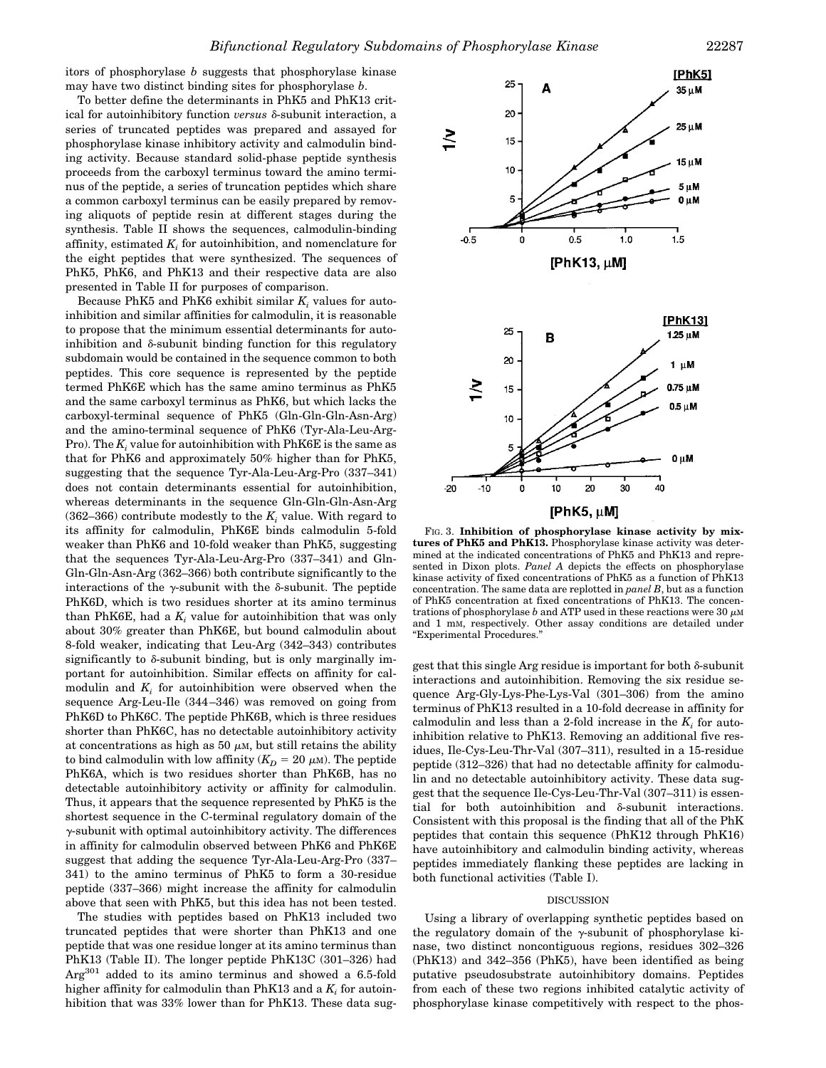itors of phosphorylase *b* suggests that phosphorylase kinase may have two distinct binding sites for phosphorylase *b*.

To better define the determinants in PhK5 and PhK13 critical for autoinhibitory function *versus*  $\delta$ -subunit interaction, a series of truncated peptides was prepared and assayed for phosphorylase kinase inhibitory activity and calmodulin binding activity. Because standard solid-phase peptide synthesis proceeds from the carboxyl terminus toward the amino terminus of the peptide, a series of truncation peptides which share a common carboxyl terminus can be easily prepared by removing aliquots of peptide resin at different stages during the synthesis. Table II shows the sequences, calmodulin-binding affinity, estimated  $K_i$  for autoinhibition, and nomenclature for the eight peptides that were synthesized. The sequences of PhK5, PhK6, and PhK13 and their respective data are also presented in Table II for purposes of comparison.

Because PhK5 and PhK6 exhibit similar *K<sup>i</sup>* values for autoinhibition and similar affinities for calmodulin, it is reasonable to propose that the minimum essential determinants for autoinhibition and  $\delta$ -subunit binding function for this regulatory subdomain would be contained in the sequence common to both peptides. This core sequence is represented by the peptide termed PhK6E which has the same amino terminus as PhK5 and the same carboxyl terminus as PhK6, but which lacks the carboxyl-terminal sequence of PhK5 (Gln-Gln-Gln-Asn-Arg) and the amino-terminal sequence of PhK6 (Tyr-Ala-Leu-Arg-Pro). The  $K_i$  value for autoinhibition with PhK6E is the same as that for PhK6 and approximately 50% higher than for PhK5, suggesting that the sequence Tyr-Ala-Leu-Arg-Pro (337–341) does not contain determinants essential for autoinhibition, whereas determinants in the sequence Gln-Gln-Gln-Asn-Arg (362–366) contribute modestly to the *K<sup>i</sup>* value. With regard to its affinity for calmodulin, PhK6E binds calmodulin 5-fold weaker than PhK6 and 10-fold weaker than PhK5, suggesting that the sequences Tyr-Ala-Leu-Arg-Pro (337–341) and Gln-Gln-Gln-Asn-Arg (362–366) both contribute significantly to the interactions of the  $\gamma$ -subunit with the  $\delta$ -subunit. The peptide PhK6D, which is two residues shorter at its amino terminus than PhK6E, had a  $K_i$  value for autoinhibition that was only about 30% greater than PhK6E, but bound calmodulin about 8-fold weaker, indicating that Leu-Arg (342–343) contributes significantly to  $\delta$ -subunit binding, but is only marginally important for autoinhibition. Similar effects on affinity for calmodulin and  $K_i$  for autoinhibition were observed when the sequence Arg-Leu-Ile (344–346) was removed on going from PhK6D to PhK6C. The peptide PhK6B, which is three residues shorter than PhK6C, has no detectable autoinhibitory activity at concentrations as high as 50  $\mu$ M, but still retains the ability to bind calmodulin with low affinity  $(K_D = 20 \mu M)$ . The peptide PhK6A, which is two residues shorter than PhK6B, has no detectable autoinhibitory activity or affinity for calmodulin. Thus, it appears that the sequence represented by PhK5 is the shortest sequence in the C-terminal regulatory domain of the  $\gamma$ -subunit with optimal autoinhibitory activity. The differences in affinity for calmodulin observed between PhK6 and PhK6E suggest that adding the sequence Tyr-Ala-Leu-Arg-Pro (337– 341) to the amino terminus of PhK5 to form a 30-residue peptide (337–366) might increase the affinity for calmodulin above that seen with PhK5, but this idea has not been tested.

The studies with peptides based on PhK13 included two truncated peptides that were shorter than PhK13 and one peptide that was one residue longer at its amino terminus than PhK13 (Table II). The longer peptide PhK13C (301–326) had Arg<sup>301</sup> added to its amino terminus and showed a 6.5-fold higher affinity for calmodulin than  $\mathrm{PhK13}$  and a  $K_i$  for autoinhibition that was  $33\%$  lower than for PhK13. These data sug-



FIG. 3. **Inhibition of phosphorylase kinase activity by mixtures of PhK5 and PhK13.** Phosphorylase kinase activity was determined at the indicated concentrations of PhK5 and PhK13 and represented in Dixon plots. *Panel A* depicts the effects on phosphorylase kinase activity of fixed concentrations of PhK5 as a function of PhK13 concentration. The same data are replotted in *panel B*, but as a function of PhK5 concentration at fixed concentrations of PhK13. The concentrations of phosphorylase *b* and ATP used in these reactions were 30  $\mu$ M and 1 mM, respectively. Other assay conditions are detailed under "Experimental Procedures."

gest that this single Arg residue is important for both  $\delta$ -subunit interactions and autoinhibition. Removing the six residue sequence Arg-Gly-Lys-Phe-Lys-Val (301–306) from the amino terminus of PhK13 resulted in a 10-fold decrease in affinity for calmodulin and less than a 2-fold increase in the  $K_i$  for autoinhibition relative to PhK13. Removing an additional five residues, Ile-Cys-Leu-Thr-Val (307–311), resulted in a 15-residue peptide (312–326) that had no detectable affinity for calmodulin and no detectable autoinhibitory activity. These data suggest that the sequence Ile-Cys-Leu-Thr-Val (307–311) is essential for both autoinhibition and  $\delta$ -subunit interactions. Consistent with this proposal is the finding that all of the PhK peptides that contain this sequence (PhK12 through PhK16) have autoinhibitory and calmodulin binding activity, whereas peptides immediately flanking these peptides are lacking in both functional activities (Table I).

#### DISCUSSION

Using a library of overlapping synthetic peptides based on the regulatory domain of the  $\gamma$ -subunit of phosphorylase kinase, two distinct noncontiguous regions, residues 302–326 (PhK13) and 342–356 (PhK5), have been identified as being putative pseudosubstrate autoinhibitory domains. Peptides from each of these two regions inhibited catalytic activity of phosphorylase kinase competitively with respect to the phos-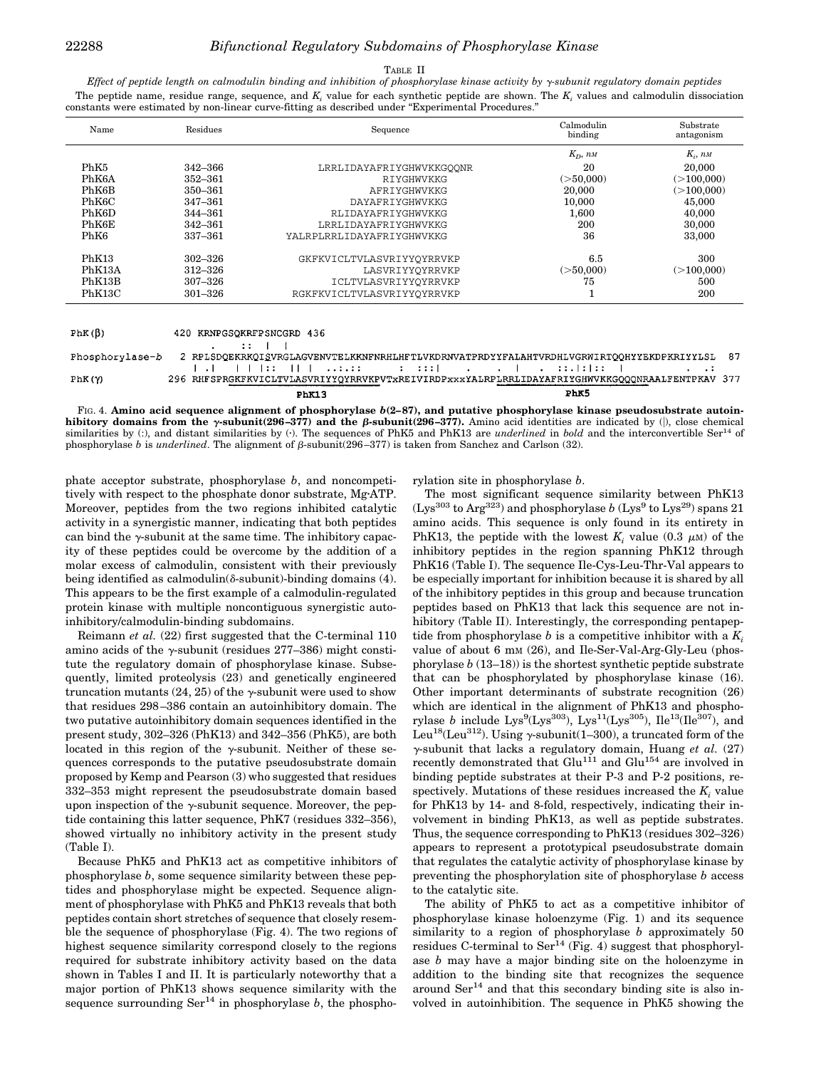#### TABLE II

*Effect of peptide length on calmodulin binding and inhibition of phosphorylase kinase activity by*  $\gamma$ *-subunit regulatory domain peptides* The peptide name, residue range, sequence, and  $K_i$  value for each synthetic peptide are shown. The  $K_i$  values and calmodulin dissociation constants were estimated by non-linear curve-fitting as described under "Experimental Procedures."

| Name                | Residues    | Sequence                   | Calmodulin<br>binding  | Substrate<br>antagonism |  |  |  |
|---------------------|-------------|----------------------------|------------------------|-------------------------|--|--|--|
|                     |             |                            | $K_D$ , n <sub>M</sub> | $K_i$ , $n_M$           |  |  |  |
| PhK5                | 342–366     | LRRLIDAYAFRIYGHWVKKGOONR   | 20                     | 20,000                  |  |  |  |
| PhK6A               | $352 - 361$ | RIYGHWVKKG                 | ( >50,000)             | (>100,000)              |  |  |  |
| PhK6B               | 350-361     | AFRIYGHWVKKG               | 20,000                 | (>100,000)              |  |  |  |
| PhK6C               | 347–361     | DAYAFRIYGHWVKKG            | 10,000                 | 45,000                  |  |  |  |
| PhK6D               | 344-361     | RLIDAYAFRIYGHWVKKG         | 1,600                  | 40,000                  |  |  |  |
| PhK6E               | $342 - 361$ | LRRLIDAYAFRIYGHWVKKG       | 200                    | 30,000                  |  |  |  |
| PhK6                | 337-361     | YALRPLRRLIDAYAFRIYGHWVKKG  | 36                     | 33,000                  |  |  |  |
| PhK13               | $302 - 326$ | GKFKVICLTVLASVRIYYOYRRVKP  | 6.5                    | 300                     |  |  |  |
| PhK <sub>13</sub> A | $312 - 326$ | LASVRIYYOYRRVKP            | ( >50,000)             | (>100,000)              |  |  |  |
| PhK13B              | $307 - 326$ | ICLTVLASVRIYYOYRRVKP       | 75                     | 500                     |  |  |  |
| PhK13C              | $301 - 326$ | RGKFKVICLTVLASVRIYYOYRRVKP |                        | 200                     |  |  |  |

| $PhK(\beta)$ | 420 KRNPGSQKRFPSNCGRD 436 |  |
|--------------|---------------------------|--|
|--------------|---------------------------|--|

|                         | PhK13                                                                                          |  |  |  |  |  |  |  | PhK5 |  |  |  |  |  |  |  |  |  |
|-------------------------|------------------------------------------------------------------------------------------------|--|--|--|--|--|--|--|------|--|--|--|--|--|--|--|--|--|
| PhK(Y)                  | 296 RHFSPRGKFKVICLTVLASVRIYYOYRRVKPVTxREIVIRDPxxxYALRPLRRLIDAYAFRIYGHWVKKGOOONRAALFENTPKAV 377 |  |  |  |  |  |  |  |      |  |  |  |  |  |  |  |  |  |
|                         |                                                                                                |  |  |  |  |  |  |  |      |  |  |  |  |  |  |  |  |  |
| Phosphorylase- <i>b</i> | 2 RPLSDOEKRKOISVRGLAGVENVTELKKNFNRHLHFTLVKDRNVATPRDYYFALAHTVRDHLVGRWIRTOOHYYEKDPKRIYYLSL 87    |  |  |  |  |  |  |  |      |  |  |  |  |  |  |  |  |  |
|                         |                                                                                                |  |  |  |  |  |  |  |      |  |  |  |  |  |  |  |  |  |

FIG. 4. **Amino acid sequence alignment of phosphorylase** *b***(2–87), and putative phosphorylase kinase pseudosubstrate autoinhibitory domains from the**  $\gamma$ **-subunit(296–377) and the**  $\beta$ **-subunit(296–377). Amino acid identities are indicated by (|), close chemical** similarities by (:), and distant similarities by ( $\cdot$ ). The sequences of PhK5 and PhK13 are *underlined* in *bold* and the interconvertible Ser<sup>14</sup> of phosphorylase *b* is *underlined*. The alignment of  $\beta$ -subunit(296–377) is taken from Sanchez and Carlson (32).

phate acceptor substrate, phosphorylase *b*, and noncompetitively with respect to the phosphate donor substrate, Mg·ATP. Moreover, peptides from the two regions inhibited catalytic activity in a synergistic manner, indicating that both peptides can bind the  $\gamma$ -subunit at the same time. The inhibitory capacity of these peptides could be overcome by the addition of a molar excess of calmodulin, consistent with their previously being identified as calmodulin( $\delta$ -subunit)-binding domains (4). This appears to be the first example of a calmodulin-regulated protein kinase with multiple noncontiguous synergistic autoinhibitory/calmodulin-binding subdomains.

Reimann *et al.* (22) first suggested that the C-terminal 110 amino acids of the  $\gamma$ -subunit (residues 277–386) might constitute the regulatory domain of phosphorylase kinase. Subsequently, limited proteolysis (23) and genetically engineered truncation mutants (24, 25) of the  $\gamma$ -subunit were used to show that residues 298–386 contain an autoinhibitory domain. The two putative autoinhibitory domain sequences identified in the present study, 302–326 (PhK13) and 342–356 (PhK5), are both located in this region of the  $\gamma$ -subunit. Neither of these sequences corresponds to the putative pseudosubstrate domain proposed by Kemp and Pearson (3) who suggested that residues 332–353 might represent the pseudosubstrate domain based upon inspection of the  $\gamma$ -subunit sequence. Moreover, the peptide containing this latter sequence, PhK7 (residues 332–356), showed virtually no inhibitory activity in the present study (Table I).

Because PhK5 and PhK13 act as competitive inhibitors of phosphorylase *b*, some sequence similarity between these peptides and phosphorylase might be expected. Sequence alignment of phosphorylase with PhK5 and PhK13 reveals that both peptides contain short stretches of sequence that closely resemble the sequence of phosphorylase (Fig. 4). The two regions of highest sequence similarity correspond closely to the regions required for substrate inhibitory activity based on the data shown in Tables I and II. It is particularly noteworthy that a major portion of PhK13 shows sequence similarity with the sequence surrounding  $\text{Ser}^{14}$  in phosphorylase *b*, the phosphorylation site in phosphorylase *b*.

The most significant sequence similarity between PhK13  $(Lys^{303}$  to Arg<sup>323</sup>) and phosphorylase *b*  $(Lys^9$  to  $Lys^{29})$  spans 21 amino acids. This sequence is only found in its entirety in PhK13, the peptide with the lowest  $K_i$  value (0.3  $\mu$ M) of the inhibitory peptides in the region spanning PhK12 through PhK16 (Table I). The sequence Ile-Cys-Leu-Thr-Val appears to be especially important for inhibition because it is shared by all of the inhibitory peptides in this group and because truncation peptides based on PhK13 that lack this sequence are not inhibitory (Table II). Interestingly, the corresponding pentapeptide from phosphorylase *b* is a competitive inhibitor with a  $K_i$ value of about 6 mm (26), and Ile-Ser-Val-Arg-Gly-Leu (phosphorylase  $b(13-18)$  is the shortest synthetic peptide substrate that can be phosphorylated by phosphorylase kinase (16). Other important determinants of substrate recognition (26) which are identical in the alignment of PhK13 and phosphorylase *b* include  $Lys^{9}(Lys^{303})$ ,  $Lys^{11}(Lys^{305})$ ,  $Ile^{13}(Ile^{307})$ , and Leu<sup>18</sup>(Leu<sup>312</sup>). Using  $\gamma$ -subunit(1–300), a truncated form of the  $\gamma$ -subunit that lacks a regulatory domain, Huang *et al.* (27) recently demonstrated that  $Glu^{111}$  and  $Glu^{154}$  are involved in binding peptide substrates at their P-3 and P-2 positions, respectively. Mutations of these residues increased the *K<sup>i</sup>* value for PhK13 by 14- and 8-fold, respectively, indicating their involvement in binding PhK13, as well as peptide substrates. Thus, the sequence corresponding to PhK13 (residues 302–326) appears to represent a prototypical pseudosubstrate domain that regulates the catalytic activity of phosphorylase kinase by preventing the phosphorylation site of phosphorylase *b* access to the catalytic site.

The ability of PhK5 to act as a competitive inhibitor of phosphorylase kinase holoenzyme (Fig. 1) and its sequence similarity to a region of phosphorylase *b* approximately 50 residues C-terminal to Ser<sup>14</sup> (Fig. 4) suggest that phosphorylase *b* may have a major binding site on the holoenzyme in addition to the binding site that recognizes the sequence around  $\text{Ser}^{14}$  and that this secondary binding site is also involved in autoinhibition. The sequence in PhK5 showing the